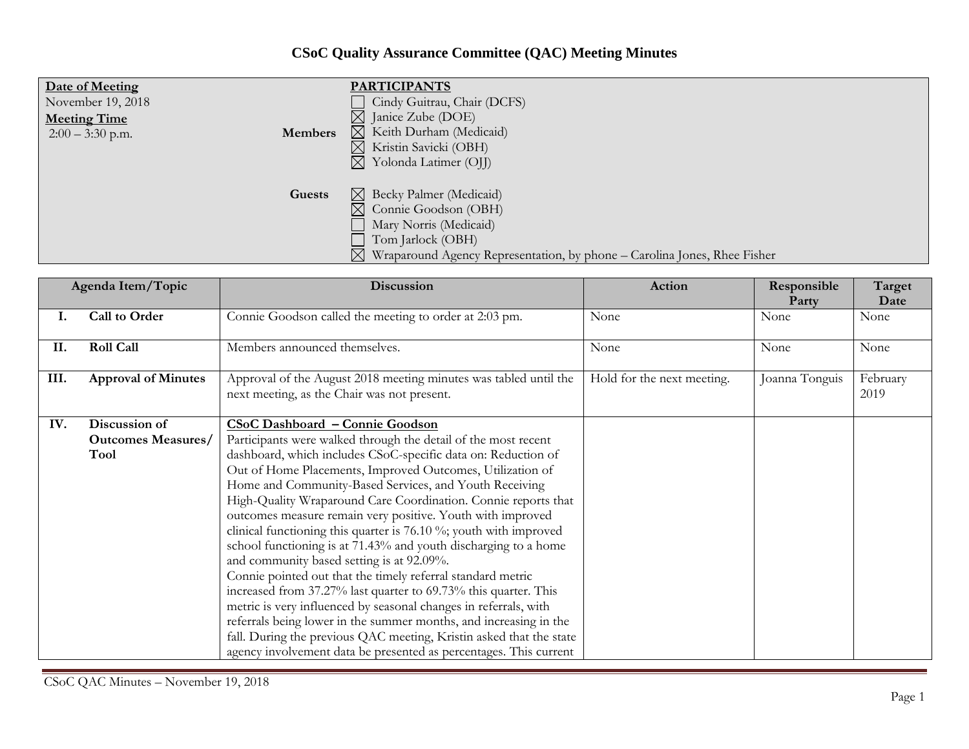## **CSoC Quality Assurance Committee (QAC) Meeting Minutes**

| Date of Meeting<br>November 19, 2018<br><b>Meeting Time</b><br><b>Members</b><br>$2:00 - 3:30$ p.m. | <b>PARTICIPANTS</b><br>Cindy Guitrau, Chair (DCFS)<br>$\boxtimes$<br>Janice Zube (DOE)<br>$\boxtimes$ Keith Durham (Medicaid)<br>Kristin Savicki (OBH)<br>$\bowtie$<br>Yolonda Latimer (OJJ)<br>$\bowtie$ |
|-----------------------------------------------------------------------------------------------------|-----------------------------------------------------------------------------------------------------------------------------------------------------------------------------------------------------------|
| Guests                                                                                              | $\boxtimes$ Becky Palmer (Medicaid)<br>Connie Goodson (OBH)<br>Mary Norris (Medicaid)<br>Tom Jarlock (OBH)<br>Wraparound Agency Representation, by phone – Carolina Jones, Rhee Fisher                    |

| Agenda Item/Topic |                            | Discussion                                                                                                      | Action                     | Responsible<br>Party | Target<br>Date   |
|-------------------|----------------------------|-----------------------------------------------------------------------------------------------------------------|----------------------------|----------------------|------------------|
| Ι.                | Call to Order              | Connie Goodson called the meeting to order at 2:03 pm.                                                          | None                       | None                 | None             |
| II.               | <b>Roll Call</b>           | Members announced themselves.                                                                                   | None                       | None                 | None             |
| III.              | <b>Approval of Minutes</b> | Approval of the August 2018 meeting minutes was tabled until the<br>next meeting, as the Chair was not present. | Hold for the next meeting. | Joanna Tonguis       | February<br>2019 |
| IV.               | Discussion of              | CSoC Dashboard - Connie Goodson                                                                                 |                            |                      |                  |
|                   | <b>Outcomes Measures/</b>  | Participants were walked through the detail of the most recent                                                  |                            |                      |                  |
|                   | Tool                       | dashboard, which includes CSoC-specific data on: Reduction of                                                   |                            |                      |                  |
|                   |                            | Out of Home Placements, Improved Outcomes, Utilization of                                                       |                            |                      |                  |
|                   |                            | Home and Community-Based Services, and Youth Receiving                                                          |                            |                      |                  |
|                   |                            | High-Quality Wraparound Care Coordination. Connie reports that                                                  |                            |                      |                  |
|                   |                            | outcomes measure remain very positive. Youth with improved                                                      |                            |                      |                  |
|                   |                            | clinical functioning this quarter is 76.10 %; youth with improved                                               |                            |                      |                  |
|                   |                            | school functioning is at 71.43% and youth discharging to a home                                                 |                            |                      |                  |
|                   |                            | and community based setting is at 92.09%.                                                                       |                            |                      |                  |
|                   |                            | Connie pointed out that the timely referral standard metric                                                     |                            |                      |                  |
|                   |                            | increased from 37.27% last quarter to 69.73% this quarter. This                                                 |                            |                      |                  |
|                   |                            | metric is very influenced by seasonal changes in referrals, with                                                |                            |                      |                  |
|                   |                            | referrals being lower in the summer months, and increasing in the                                               |                            |                      |                  |
|                   |                            | fall. During the previous QAC meeting, Kristin asked that the state                                             |                            |                      |                  |
|                   |                            | agency involvement data be presented as percentages. This current                                               |                            |                      |                  |